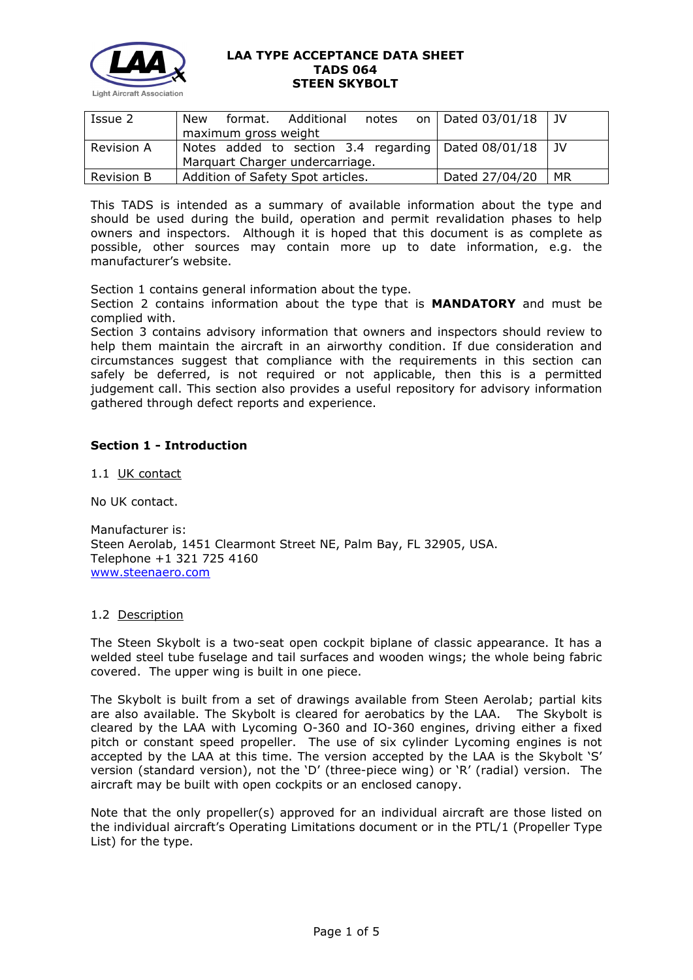

| Issue 2           | New                               | format. | Additional | notes |  | on   Dated $03/01/18$                               | . JV |
|-------------------|-----------------------------------|---------|------------|-------|--|-----------------------------------------------------|------|
|                   | maximum gross weight              |         |            |       |  |                                                     |      |
| Revision A        |                                   |         |            |       |  | Notes added to section 3.4 regarding Dated 08/01/18 | . JV |
|                   | Marquart Charger undercarriage.   |         |            |       |  |                                                     |      |
| <b>Revision B</b> | Addition of Safety Spot articles. |         |            |       |  | Dated 27/04/20                                      | MR   |

This TADS is intended as a summary of available information about the type and should be used during the build, operation and permit revalidation phases to help owners and inspectors. Although it is hoped that this document is as complete as possible, other sources may contain more up to date information, e.g. the manufacturer's website.

Section 1 contains general information about the type.

Section 2 contains information about the type that is **MANDATORY** and must be complied with.

Section 3 contains advisory information that owners and inspectors should review to help them maintain the aircraft in an airworthy condition. If due consideration and circumstances suggest that compliance with the requirements in this section can safely be deferred, is not required or not applicable, then this is a permitted judgement call. This section also provides a useful repository for advisory information gathered through defect reports and experience.

# **Section 1 - Introduction**

1.1 UK contact

No UK contact.

Manufacturer is: Steen Aerolab, 1451 Clearmont Street NE, Palm Bay, FL 32905, USA. Telephone +1 321 725 4160 [www.steenaero.com](http://www.steenaero.com/)

## 1.2 Description

The Steen Skybolt is a two-seat open cockpit biplane of classic appearance. It has a welded steel tube fuselage and tail surfaces and wooden wings; the whole being fabric covered. The upper wing is built in one piece.

The Skybolt is built from a set of drawings available from Steen Aerolab; partial kits are also available. The Skybolt is cleared for aerobatics by the LAA. The Skybolt is cleared by the LAA with Lycoming O-360 and IO-360 engines, driving either a fixed pitch or constant speed propeller. The use of six cylinder Lycoming engines is not accepted by the LAA at this time. The version accepted by the LAA is the Skybolt 'S' version (standard version), not the 'D' (three-piece wing) or 'R' (radial) version. The aircraft may be built with open cockpits or an enclosed canopy.

Note that the only propeller(s) approved for an individual aircraft are those listed on the individual aircraft's Operating Limitations document or in the PTL/1 (Propeller Type List) for the type.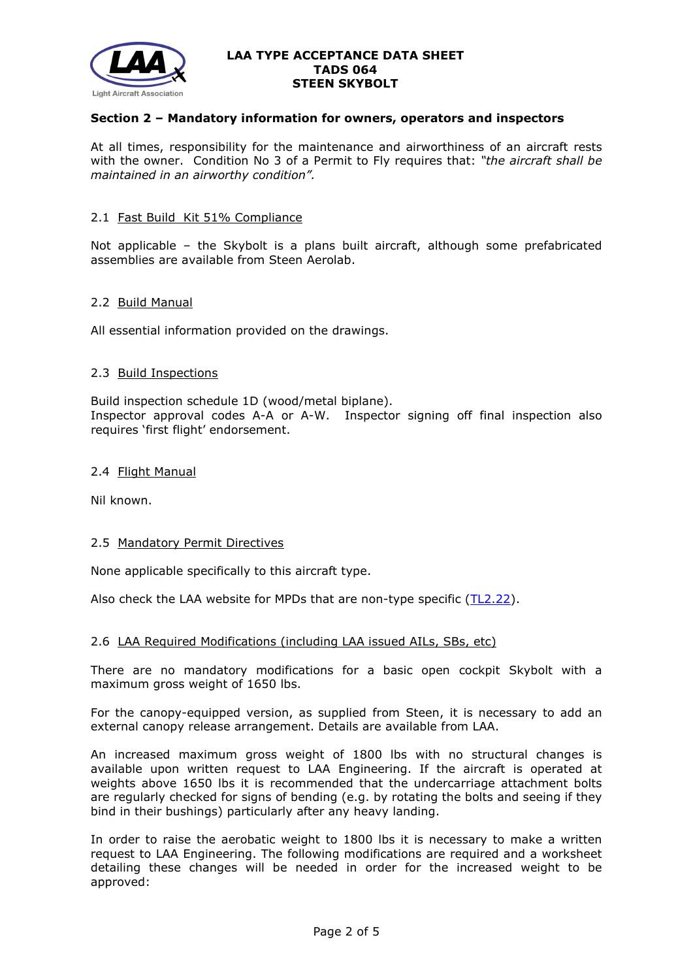

## **Section 2 – Mandatory information for owners, operators and inspectors**

At all times, responsibility for the maintenance and airworthiness of an aircraft rests with the owner. Condition No 3 of a Permit to Fly requires that: *"the aircraft shall be maintained in an airworthy condition".* 

## 2.1 Fast Build Kit 51% Compliance

Not applicable – the Skybolt is a plans built aircraft, although some prefabricated assemblies are available from Steen Aerolab.

## 2.2 Build Manual

All essential information provided on the drawings.

## 2.3 Build Inspections

Build inspection schedule 1D (wood/metal biplane). Inspector approval codes A-A or A-W. Inspector signing off final inspection also requires 'first flight' endorsement.

### 2.4 Flight Manual

Nil known.

## 2.5 Mandatory Permit Directives

None applicable specifically to this aircraft type.

Also check the LAA website for MPDs that are non-type specific  $(TL2.22)$ .

## 2.6 LAA Required Modifications (including LAA issued AILs, SBs, etc)

There are no mandatory modifications for a basic open cockpit Skybolt with a maximum gross weight of 1650 lbs.

For the canopy-equipped version, as supplied from Steen, it is necessary to add an external canopy release arrangement. Details are available from LAA.

An increased maximum gross weight of 1800 lbs with no structural changes is available upon written request to LAA Engineering. If the aircraft is operated at weights above 1650 lbs it is recommended that the undercarriage attachment bolts are regularly checked for signs of bending (e.g. by rotating the bolts and seeing if they bind in their bushings) particularly after any heavy landing.

In order to raise the aerobatic weight to 1800 lbs it is necessary to make a written request to LAA Engineering. The following modifications are required and a worksheet detailing these changes will be needed in order for the increased weight to be approved: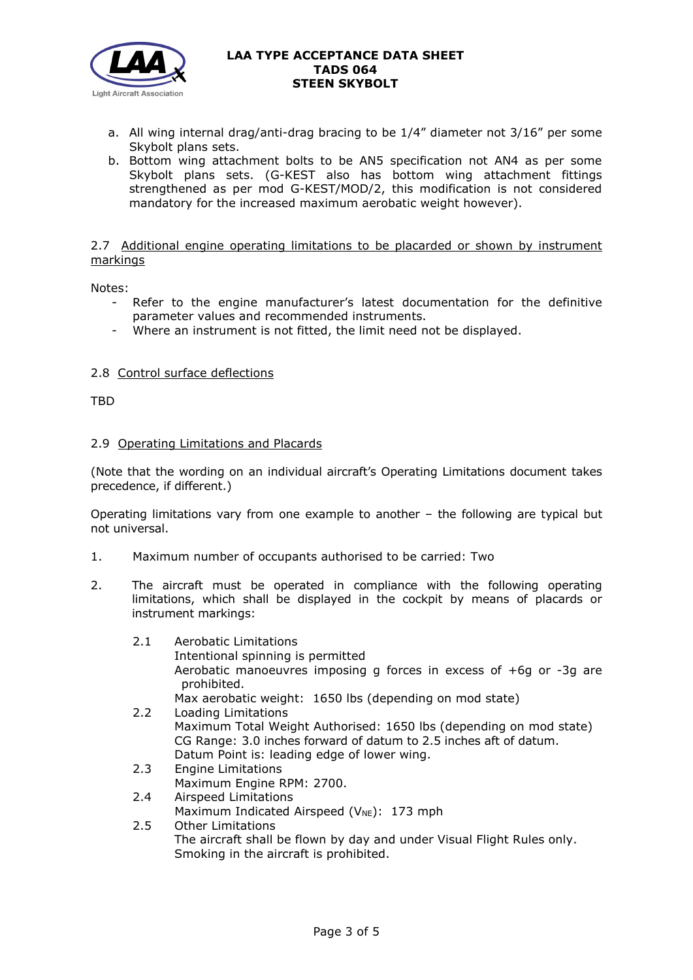

- a. All wing internal drag/anti-drag bracing to be 1/4" diameter not 3/16" per some Skybolt plans sets.
- b. Bottom wing attachment bolts to be AN5 specification not AN4 as per some Skybolt plans sets. (G-KEST also has bottom wing attachment fittings strengthened as per mod G-KEST/MOD/2, this modification is not considered mandatory for the increased maximum aerobatic weight however).

# 2.7 Additional engine operating limitations to be placarded or shown by instrument markings

Notes:

- Refer to the engine manufacturer's latest documentation for the definitive parameter values and recommended instruments.
- Where an instrument is not fitted, the limit need not be displayed.

# 2.8 Control surface deflections

TBD

# 2.9 Operating Limitations and Placards

(Note that the wording on an individual aircraft's Operating Limitations document takes precedence, if different.)

Operating limitations vary from one example to another – the following are typical but not universal.

- 1. Maximum number of occupants authorised to be carried: Two
- 2. The aircraft must be operated in compliance with the following operating limitations, which shall be displayed in the cockpit by means of placards or instrument markings:
	- 2.1 Aerobatic Limitations
		- Intentional spinning is permitted Aerobatic manoeuvres imposing g forces in excess of +6g or -3g are prohibited.

Max aerobatic weight: 1650 lbs (depending on mod state)

- 2.2 Loading Limitations Maximum Total Weight Authorised: 1650 lbs (depending on mod state) CG Range: 3.0 inches forward of datum to 2.5 inches aft of datum. Datum Point is: leading edge of lower wing.
- 2.3 Engine Limitations
	- Maximum Engine RPM: 2700.
- 2.4 Airspeed Limitations Maximum Indicated Airspeed (V<sub>NE</sub>): 173 mph
- 2.5 Other Limitations The aircraft shall be flown by day and under Visual Flight Rules only. Smoking in the aircraft is prohibited.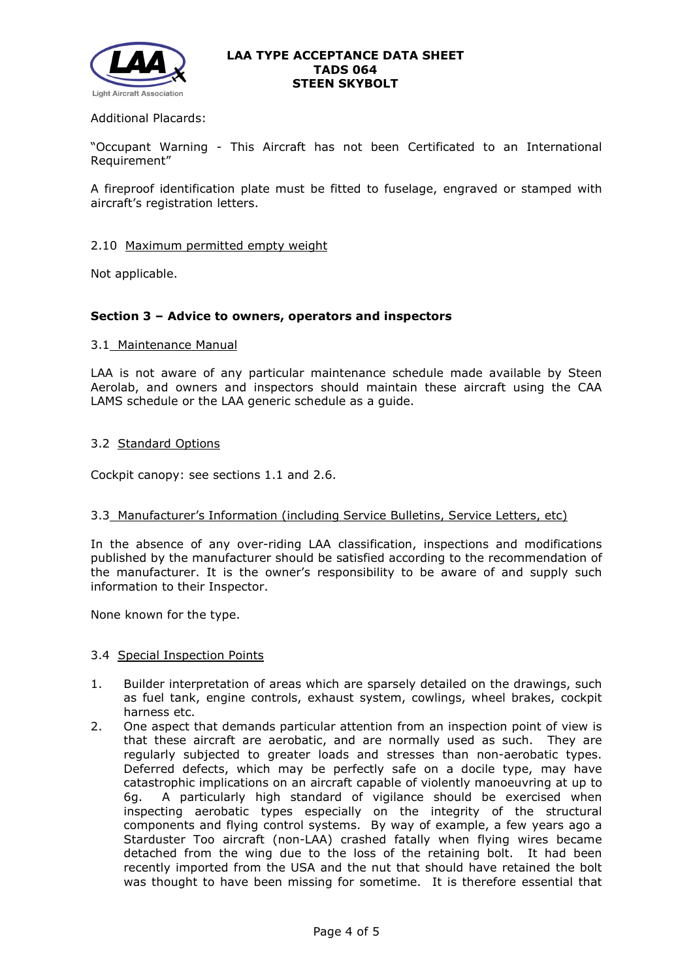

## Additional Placards:

"Occupant Warning - This Aircraft has not been Certificated to an International Requirement"

A fireproof identification plate must be fitted to fuselage, engraved or stamped with aircraft's registration letters.

# 2.10 Maximum permitted empty weight

Not applicable.

## **Section 3 – Advice to owners, operators and inspectors**

### 3.1 Maintenance Manual

LAA is not aware of any particular maintenance schedule made available by Steen Aerolab, and owners and inspectors should maintain these aircraft using the CAA LAMS schedule or the LAA generic schedule as a guide.

## 3.2 Standard Options

Cockpit canopy: see sections 1.1 and 2.6.

### 3.3 Manufacturer's Information (including Service Bulletins, Service Letters, etc)

In the absence of any over-riding LAA classification, inspections and modifications published by the manufacturer should be satisfied according to the recommendation of the manufacturer. It is the owner's responsibility to be aware of and supply such information to their Inspector.

None known for the type.

### 3.4 Special Inspection Points

- 1. Builder interpretation of areas which are sparsely detailed on the drawings, such as fuel tank, engine controls, exhaust system, cowlings, wheel brakes, cockpit harness etc.
- 2. One aspect that demands particular attention from an inspection point of view is that these aircraft are aerobatic, and are normally used as such. They are regularly subjected to greater loads and stresses than non-aerobatic types. Deferred defects, which may be perfectly safe on a docile type, may have catastrophic implications on an aircraft capable of violently manoeuvring at up to 6g. A particularly high standard of vigilance should be exercised when inspecting aerobatic types especially on the integrity of the structural components and flying control systems. By way of example, a few years ago a Starduster Too aircraft (non-LAA) crashed fatally when flying wires became detached from the wing due to the loss of the retaining bolt. It had been recently imported from the USA and the nut that should have retained the bolt was thought to have been missing for sometime. It is therefore essential that